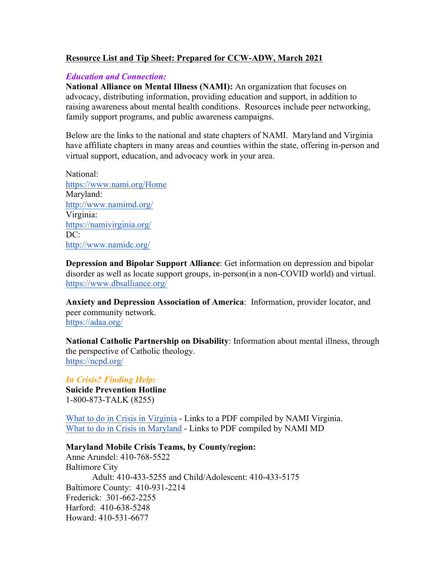## **Resource List and Tip Sheet: Prepared for CCW-ADW, March 2021**

## *Education and Connection:*

**National Alliance on Mental Illness (NAMI):** An organization that focuses on advocacy, distributing information, providing education and support, in addition to raising awareness about mental health conditions. Resources include peer networking, family support programs, and public awareness campaigns.

Below are the links to the national and state chapters of NAMI. Maryland and Virginia have affiliate chapters in many areas and counties within the state, offering in-person and virtual support, education, and advocacy work in your area.

National: https://www.nami.org/Home Maryland: http://www.namimd.org/ Virginia: https://namivirginia.org/ DC: http://www.namidc.org/

**Depression and Bipolar Support Alliance**: Get information on depression and bipolar disorder as well as locate support groups, in-person(in a non-COVID world) and virtual. https://www.dbsalliance.org/

**Anxiety and Depression Association of America**: Information, provider locator, and peer community network. https://adaa.org/

**National Catholic Partnership on Disability**: Information about mental illness, through the perspective of Catholic theology. https://ncpd.org/

*In Crisis? Finding Help:* **Suicide Prevention Hotline** 1-800-873-TALK (8255)

What to do in Crisis in Virginia - Links to a PDF compiled by NAMI Virginia. What to do in Crisis in Maryland - Links to PDF compiled by NAMI MD

## **Maryland Mobile Crisis Teams, by County/region:**

Anne Arundel: 410-768-5522 Baltimore City Adult: 410-433-5255 and Child/Adolescent: 410-433-5175 Baltimore County: 410-931-2214 Frederick: 301-662-2255 Harford: 410-638-5248 Howard: 410-531-6677